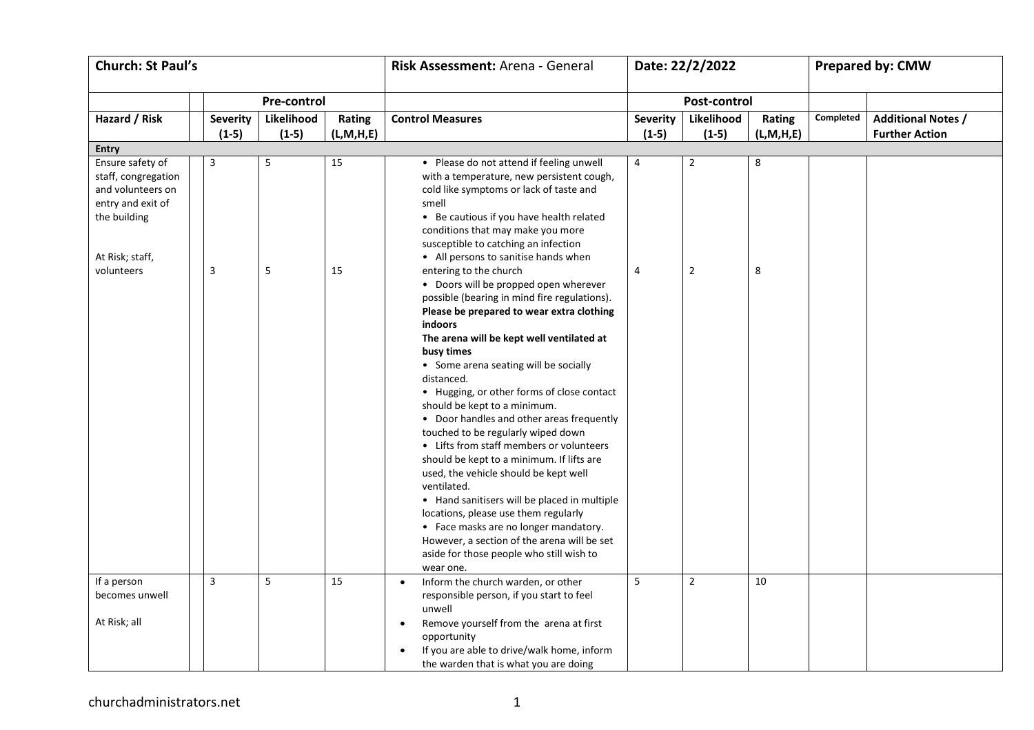| <b>Church: St Paul's</b>                                                                                                           |  |                              |                       |                        | Risk Assessment: Arena - General                                                                                                                                                                                                                                                                                                                                                                                                                                                                                                                                                                                                                                                                                                                                                                                                                                                                                                                                                                                                                                                                                                                      | Date: 22/2/2022            |                                  |                        | <b>Prepared by: CMW</b> |                                                    |  |
|------------------------------------------------------------------------------------------------------------------------------------|--|------------------------------|-----------------------|------------------------|-------------------------------------------------------------------------------------------------------------------------------------------------------------------------------------------------------------------------------------------------------------------------------------------------------------------------------------------------------------------------------------------------------------------------------------------------------------------------------------------------------------------------------------------------------------------------------------------------------------------------------------------------------------------------------------------------------------------------------------------------------------------------------------------------------------------------------------------------------------------------------------------------------------------------------------------------------------------------------------------------------------------------------------------------------------------------------------------------------------------------------------------------------|----------------------------|----------------------------------|------------------------|-------------------------|----------------------------------------------------|--|
|                                                                                                                                    |  |                              | <b>Pre-control</b>    |                        |                                                                                                                                                                                                                                                                                                                                                                                                                                                                                                                                                                                                                                                                                                                                                                                                                                                                                                                                                                                                                                                                                                                                                       | Post-control               |                                  |                        |                         |                                                    |  |
| Hazard / Risk                                                                                                                      |  | <b>Severity</b><br>$(1-5)$   | Likelihood<br>$(1-5)$ | Rating<br>(L, M, H, E) | <b>Control Measures</b>                                                                                                                                                                                                                                                                                                                                                                                                                                                                                                                                                                                                                                                                                                                                                                                                                                                                                                                                                                                                                                                                                                                               | <b>Severity</b><br>$(1-5)$ | Likelihood<br>$(1-5)$            | Rating<br>(L, M, H, E) | Completed               | <b>Additional Notes /</b><br><b>Further Action</b> |  |
| <b>Entry</b>                                                                                                                       |  |                              |                       |                        |                                                                                                                                                                                                                                                                                                                                                                                                                                                                                                                                                                                                                                                                                                                                                                                                                                                                                                                                                                                                                                                                                                                                                       |                            |                                  |                        |                         |                                                    |  |
| Ensure safety of<br>staff, congregation<br>and volunteers on<br>entry and exit of<br>the building<br>At Risk; staff,<br>volunteers |  | $\overline{\mathbf{3}}$<br>3 | 5<br>5                | 15<br>15               | • Please do not attend if feeling unwell<br>with a temperature, new persistent cough,<br>cold like symptoms or lack of taste and<br>smell<br>• Be cautious if you have health related<br>conditions that may make you more<br>susceptible to catching an infection<br>• All persons to sanitise hands when<br>entering to the church<br>• Doors will be propped open wherever<br>possible (bearing in mind fire regulations).<br>Please be prepared to wear extra clothing<br>indoors<br>The arena will be kept well ventilated at<br>busy times<br>• Some arena seating will be socially<br>distanced.<br>• Hugging, or other forms of close contact<br>should be kept to a minimum.<br>• Door handles and other areas frequently<br>touched to be regularly wiped down<br>• Lifts from staff members or volunteers<br>should be kept to a minimum. If lifts are<br>used, the vehicle should be kept well<br>ventilated.<br>• Hand sanitisers will be placed in multiple<br>locations, please use them regularly<br>• Face masks are no longer mandatory.<br>However, a section of the arena will be set<br>aside for those people who still wish to | 4<br>$\overline{4}$        | $\overline{2}$<br>$\overline{2}$ | 8<br>8                 |                         |                                                    |  |
| If a person<br>becomes unwell                                                                                                      |  | $\overline{3}$               | 5                     | 15                     | wear one.<br>Inform the church warden, or other<br>responsible person, if you start to feel<br>unwell                                                                                                                                                                                                                                                                                                                                                                                                                                                                                                                                                                                                                                                                                                                                                                                                                                                                                                                                                                                                                                                 | 5                          | $\overline{2}$                   | 10                     |                         |                                                    |  |
| At Risk; all                                                                                                                       |  |                              |                       |                        | Remove yourself from the arena at first<br>opportunity<br>If you are able to drive/walk home, inform<br>the warden that is what you are doing                                                                                                                                                                                                                                                                                                                                                                                                                                                                                                                                                                                                                                                                                                                                                                                                                                                                                                                                                                                                         |                            |                                  |                        |                         |                                                    |  |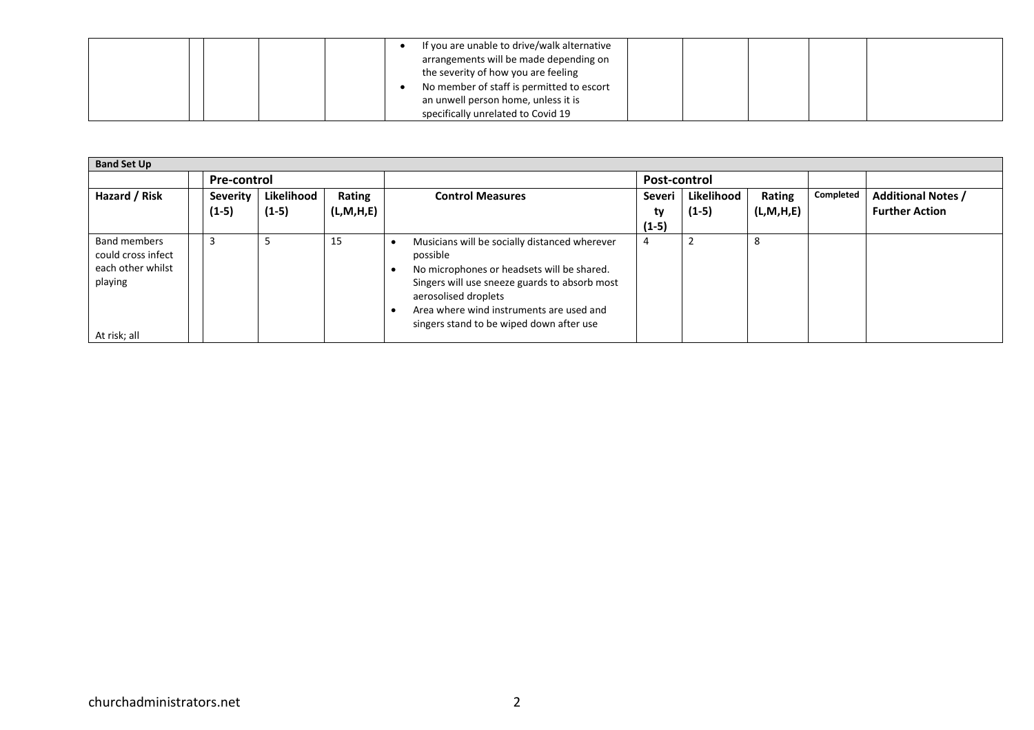| arrangements will be made depending on<br>the severity of how you are feeling<br>No member of staff is permitted to escort<br>an unwell person home, unless it is<br>specifically unrelated to Covid 19 |
|---------------------------------------------------------------------------------------------------------------------------------------------------------------------------------------------------------|
|---------------------------------------------------------------------------------------------------------------------------------------------------------------------------------------------------------|

| <b>Band Set Up</b>                                                                        |  |                     |                       |                        |                                                                                                                                                                                                                                                                          |                         |                       |                     |           |                                                    |  |  |
|-------------------------------------------------------------------------------------------|--|---------------------|-----------------------|------------------------|--------------------------------------------------------------------------------------------------------------------------------------------------------------------------------------------------------------------------------------------------------------------------|-------------------------|-----------------------|---------------------|-----------|----------------------------------------------------|--|--|
|                                                                                           |  | Pre-control         |                       |                        |                                                                                                                                                                                                                                                                          | Post-control            |                       |                     |           |                                                    |  |  |
| Hazard / Risk                                                                             |  | Severity<br>$(1-5)$ | Likelihood<br>$(1-5)$ | Rating<br>(L, M, H, E) | <b>Control Measures</b>                                                                                                                                                                                                                                                  | Severi<br>ty<br>$(1-5)$ | Likelihood<br>$(1-5)$ | Rating<br>(L,M,H,E) | Completed | <b>Additional Notes /</b><br><b>Further Action</b> |  |  |
| <b>Band members</b><br>could cross infect<br>each other whilst<br>playing<br>At risk; all |  | 3                   | 5                     | 15                     | Musicians will be socially distanced wherever<br>possible<br>No microphones or headsets will be shared.<br>Singers will use sneeze guards to absorb most<br>aerosolised droplets<br>Area where wind instruments are used and<br>singers stand to be wiped down after use |                         |                       | 8                   |           |                                                    |  |  |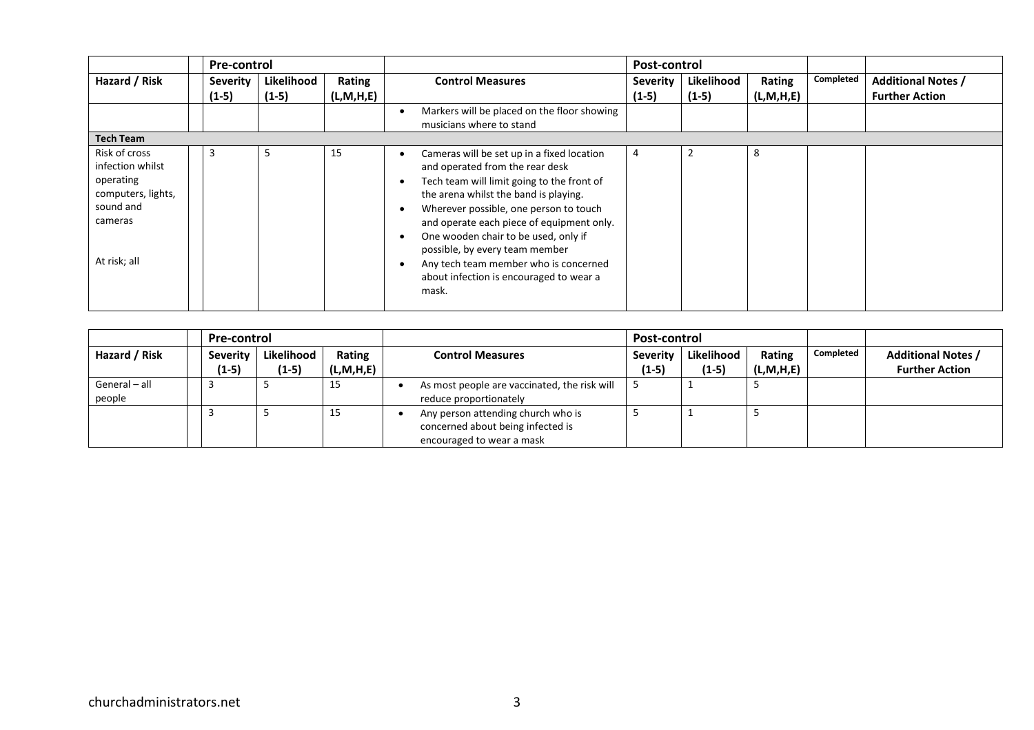|                                                                                                              | <b>Pre-control</b>  |                       |                     | Post-control                                                                                                                                                                                                                                                                                                                                                                                                                       |                            |                       |                        |           |                                                    |
|--------------------------------------------------------------------------------------------------------------|---------------------|-----------------------|---------------------|------------------------------------------------------------------------------------------------------------------------------------------------------------------------------------------------------------------------------------------------------------------------------------------------------------------------------------------------------------------------------------------------------------------------------------|----------------------------|-----------------------|------------------------|-----------|----------------------------------------------------|
| Hazard / Risk                                                                                                | Severity<br>$(1-5)$ | Likelihood<br>$(1-5)$ | Rating<br>(L,M,H,E) | <b>Control Measures</b>                                                                                                                                                                                                                                                                                                                                                                                                            | <b>Severity</b><br>$(1-5)$ | Likelihood<br>$(1-5)$ | Rating<br>(L, M, H, E) | Completed | <b>Additional Notes /</b><br><b>Further Action</b> |
|                                                                                                              |                     |                       |                     | Markers will be placed on the floor showing<br>musicians where to stand                                                                                                                                                                                                                                                                                                                                                            |                            |                       |                        |           |                                                    |
| <b>Tech Team</b>                                                                                             |                     |                       |                     |                                                                                                                                                                                                                                                                                                                                                                                                                                    |                            |                       |                        |           |                                                    |
| Risk of cross<br>infection whilst<br>operating<br>computers, lights,<br>sound and<br>cameras<br>At risk; all | 3                   | כ                     | 15                  | Cameras will be set up in a fixed location<br>and operated from the rear desk<br>Tech team will limit going to the front of<br>the arena whilst the band is playing.<br>Wherever possible, one person to touch<br>and operate each piece of equipment only.<br>One wooden chair to be used, only if<br>possible, by every team member<br>Any tech team member who is concerned<br>about infection is encouraged to wear a<br>mask. | 4                          |                       | 8                      |           |                                                    |

|                         | <b>Pre-control</b> |            |           | Post-control |                                                                                                      |         |            |              |           |                           |
|-------------------------|--------------------|------------|-----------|--------------|------------------------------------------------------------------------------------------------------|---------|------------|--------------|-----------|---------------------------|
| Hazard / Risk           | Severity           | Likelihood | Rating    |              | <b>Control Measures</b><br><b>Severity</b>                                                           |         | Likelihood | Rating       | Completed | <b>Additional Notes /</b> |
|                         | (1-5)              | $(1-5)$    | (L,M,H,E) |              |                                                                                                      | $(1-5)$ | $(1-5)$    | (L, M, H, E) |           | <b>Further Action</b>     |
| General - all<br>people |                    |            | 15        |              | As most people are vaccinated, the risk will<br>reduce proportionately                               |         |            |              |           |                           |
|                         |                    |            | 15        |              | Any person attending church who is<br>concerned about being infected is<br>encouraged to wear a mask |         |            |              |           |                           |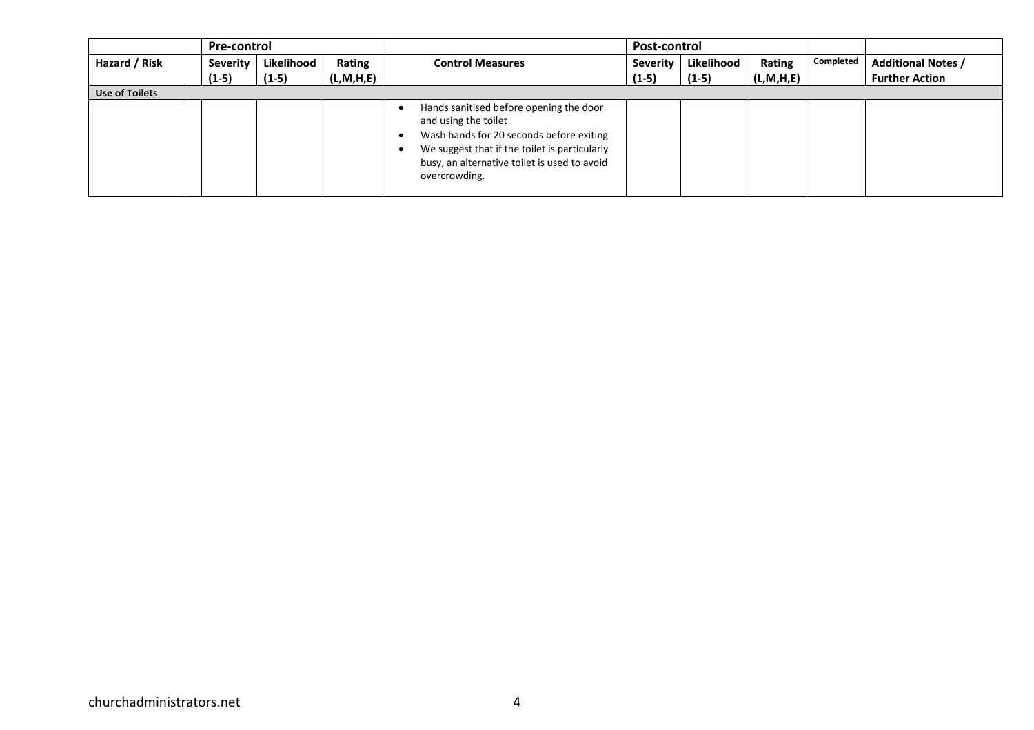|                       | <b>Pre-control</b> |            |              |                                                                                                                                                                                                                               | Post-control    |            |              |           |                           |
|-----------------------|--------------------|------------|--------------|-------------------------------------------------------------------------------------------------------------------------------------------------------------------------------------------------------------------------------|-----------------|------------|--------------|-----------|---------------------------|
| Hazard / Risk         | Severity           | Likelihood | Rating       | <b>Control Measures</b>                                                                                                                                                                                                       | <b>Severity</b> | Likelihood | Rating       | Completed | <b>Additional Notes /</b> |
|                       | $(1-5)$            | $(1-5)$    | (L, M, H, E) |                                                                                                                                                                                                                               | $(1-5)$         | $(1-5)$    | (L, M, H, E) |           | <b>Further Action</b>     |
| <b>Use of Toilets</b> |                    |            |              |                                                                                                                                                                                                                               |                 |            |              |           |                           |
|                       |                    |            |              | Hands sanitised before opening the door<br>and using the toilet<br>Wash hands for 20 seconds before exiting<br>We suggest that if the toilet is particularly<br>busy, an alternative toilet is used to avoid<br>overcrowding. |                 |            |              |           |                           |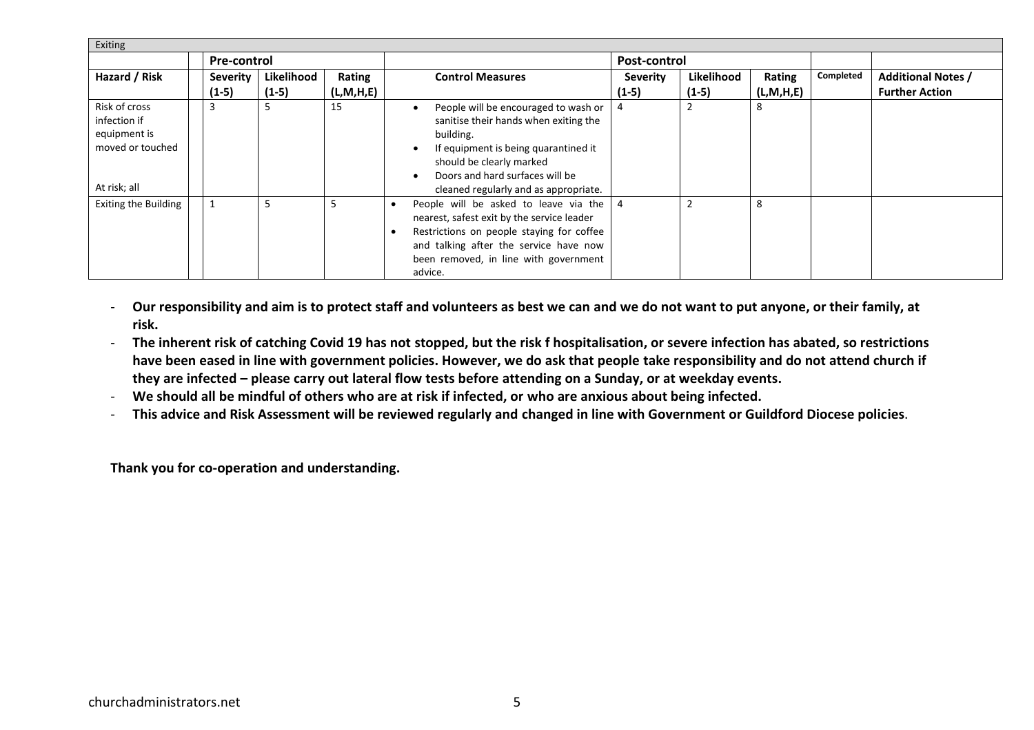| Exiting                                                                           |  |                    |            |              |                                                                                                                                                                                                                                            |                 |            |              |           |                           |  |
|-----------------------------------------------------------------------------------|--|--------------------|------------|--------------|--------------------------------------------------------------------------------------------------------------------------------------------------------------------------------------------------------------------------------------------|-----------------|------------|--------------|-----------|---------------------------|--|
|                                                                                   |  | <b>Pre-control</b> |            |              |                                                                                                                                                                                                                                            | Post-control    |            |              |           |                           |  |
| Hazard / Risk                                                                     |  | <b>Severity</b>    | Likelihood | Rating       | <b>Control Measures</b>                                                                                                                                                                                                                    | <b>Severity</b> | Likelihood | Rating       | Completed | <b>Additional Notes /</b> |  |
|                                                                                   |  | $(1-5)$            | $(1-5)$    | (L, M, H, E) |                                                                                                                                                                                                                                            | $(1-5)$         | $(1-5)$    | (L, M, H, E) |           | <b>Further Action</b>     |  |
| Risk of cross<br>infection if<br>equipment is<br>moved or touched<br>At risk; all |  | 3                  | -5         | 15           | People will be encouraged to wash or<br>sanitise their hands when exiting the<br>building.<br>If equipment is being quarantined it<br>should be clearly marked<br>Doors and hard surfaces will be<br>cleaned regularly and as appropriate. |                 | ے          | 8            |           |                           |  |
| <b>Exiting the Building</b>                                                       |  |                    | 5          |              | People will be asked to leave via the<br>nearest, safest exit by the service leader<br>Restrictions on people staying for coffee<br>and talking after the service have now<br>been removed, in line with government<br>advice.             | $\overline{4}$  |            | 8            |           |                           |  |

- **Our responsibility and aim is to protect staff and volunteers as best we can and we do not want to put anyone, or their family, at risk.**
- **The inherent risk of catching Covid 19 has not stopped, but the risk f hospitalisation, or severe infection has abated, so restrictions have been eased in line with government policies. However, we do ask that people take responsibility and do not attend church if they are infected – please carry out lateral flow tests before attending on a Sunday, or at weekday events.**
- **We should all be mindful of others who are at risk if infected, or who are anxious about being infected.**
- **This advice and Risk Assessment will be reviewed regularly and changed in line with Government or Guildford Diocese policies**.

**Thank you for co-operation and understanding.**